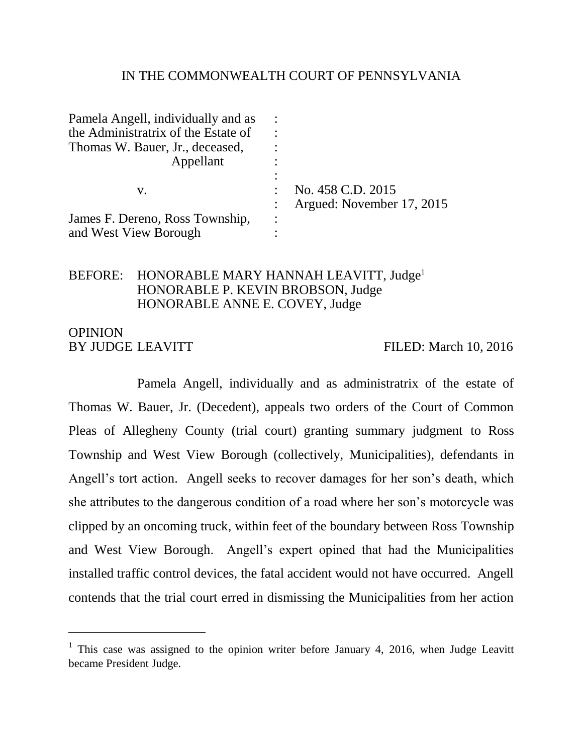### IN THE COMMONWEALTH COURT OF PENNSYLVANIA

| Pamela Angell, individually and as  |                        |                           |
|-------------------------------------|------------------------|---------------------------|
| the Administratrix of the Estate of |                        |                           |
| Thomas W. Bauer, Jr., deceased,     |                        |                           |
| Appellant                           |                        |                           |
|                                     | $\bullet$              |                           |
| V.                                  |                        | No. 458 C.D. 2015         |
|                                     |                        | Argued: November 17, 2015 |
| James F. Dereno, Ross Township,     | $\bullet$<br>$\bullet$ |                           |
| and West View Borough               |                        |                           |

#### BEFORE: HONORABLE MARY HANNAH LEAVITT, Judge<sup>1</sup> HONORABLE P. KEVIN BROBSON, Judge HONORABLE ANNE E. COVEY, Judge

### OPINION BY JUDGE LEAVITT FILED: March 10, 2016

 $\overline{a}$ 

Pamela Angell, individually and as administratrix of the estate of Thomas W. Bauer, Jr. (Decedent), appeals two orders of the Court of Common Pleas of Allegheny County (trial court) granting summary judgment to Ross Township and West View Borough (collectively, Municipalities), defendants in Angell's tort action. Angell seeks to recover damages for her son's death, which she attributes to the dangerous condition of a road where her son's motorcycle was clipped by an oncoming truck, within feet of the boundary between Ross Township and West View Borough. Angell's expert opined that had the Municipalities installed traffic control devices, the fatal accident would not have occurred. Angell contends that the trial court erred in dismissing the Municipalities from her action

<sup>&</sup>lt;sup>1</sup> This case was assigned to the opinion writer before January 4, 2016, when Judge Leavitt became President Judge.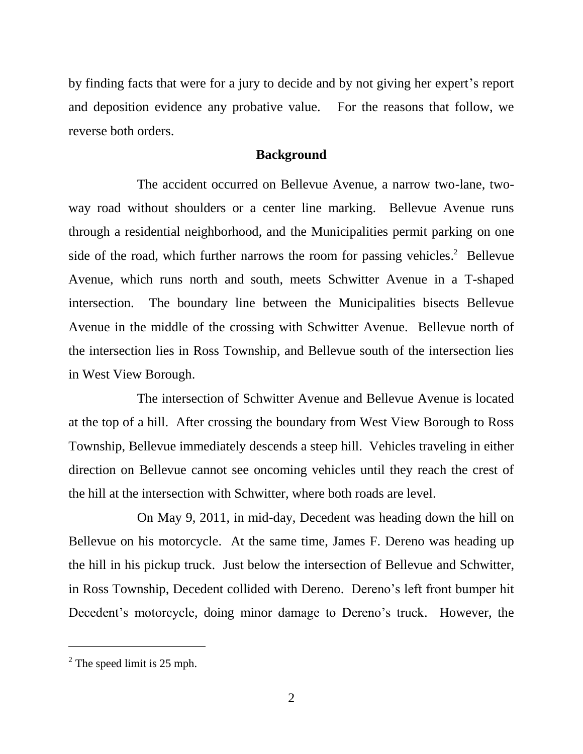by finding facts that were for a jury to decide and by not giving her expert's report and deposition evidence any probative value. For the reasons that follow, we reverse both orders.

#### **Background**

The accident occurred on Bellevue Avenue, a narrow two-lane, twoway road without shoulders or a center line marking. Bellevue Avenue runs through a residential neighborhood, and the Municipalities permit parking on one side of the road, which further narrows the room for passing vehicles.<sup>2</sup> Bellevue Avenue, which runs north and south, meets Schwitter Avenue in a T-shaped intersection. The boundary line between the Municipalities bisects Bellevue Avenue in the middle of the crossing with Schwitter Avenue. Bellevue north of the intersection lies in Ross Township, and Bellevue south of the intersection lies in West View Borough.

The intersection of Schwitter Avenue and Bellevue Avenue is located at the top of a hill. After crossing the boundary from West View Borough to Ross Township, Bellevue immediately descends a steep hill. Vehicles traveling in either direction on Bellevue cannot see oncoming vehicles until they reach the crest of the hill at the intersection with Schwitter, where both roads are level.

On May 9, 2011, in mid-day, Decedent was heading down the hill on Bellevue on his motorcycle. At the same time, James F. Dereno was heading up the hill in his pickup truck. Just below the intersection of Bellevue and Schwitter, in Ross Township, Decedent collided with Dereno. Dereno's left front bumper hit Decedent's motorcycle, doing minor damage to Dereno's truck. However, the

 $2^2$  The speed limit is 25 mph.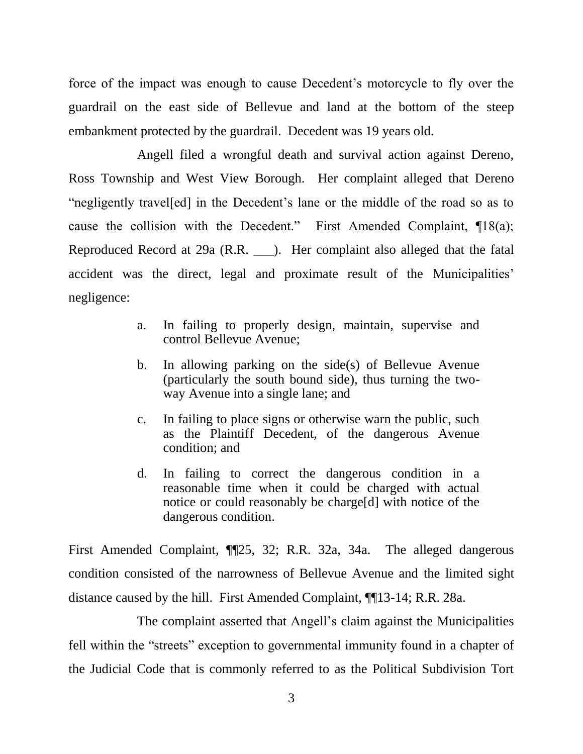force of the impact was enough to cause Decedent's motorcycle to fly over the guardrail on the east side of Bellevue and land at the bottom of the steep embankment protected by the guardrail. Decedent was 19 years old.

Angell filed a wrongful death and survival action against Dereno, Ross Township and West View Borough. Her complaint alleged that Dereno "negligently travel[ed] in the Decedent's lane or the middle of the road so as to cause the collision with the Decedent." First Amended Complaint, ¶18(a); Reproduced Record at 29a (R.R. \_\_\_). Her complaint also alleged that the fatal accident was the direct, legal and proximate result of the Municipalities' negligence:

- a. In failing to properly design, maintain, supervise and control Bellevue Avenue;
- b. In allowing parking on the side(s) of Bellevue Avenue (particularly the south bound side), thus turning the twoway Avenue into a single lane; and
- c. In failing to place signs or otherwise warn the public, such as the Plaintiff Decedent, of the dangerous Avenue condition; and
- d. In failing to correct the dangerous condition in a reasonable time when it could be charged with actual notice or could reasonably be charge[d] with notice of the dangerous condition.

First Amended Complaint, ¶¶25, 32; R.R. 32a, 34a. The alleged dangerous condition consisted of the narrowness of Bellevue Avenue and the limited sight distance caused by the hill. First Amended Complaint, ¶¶13-14; R.R. 28a.

The complaint asserted that Angell's claim against the Municipalities fell within the "streets" exception to governmental immunity found in a chapter of the Judicial Code that is commonly referred to as the Political Subdivision Tort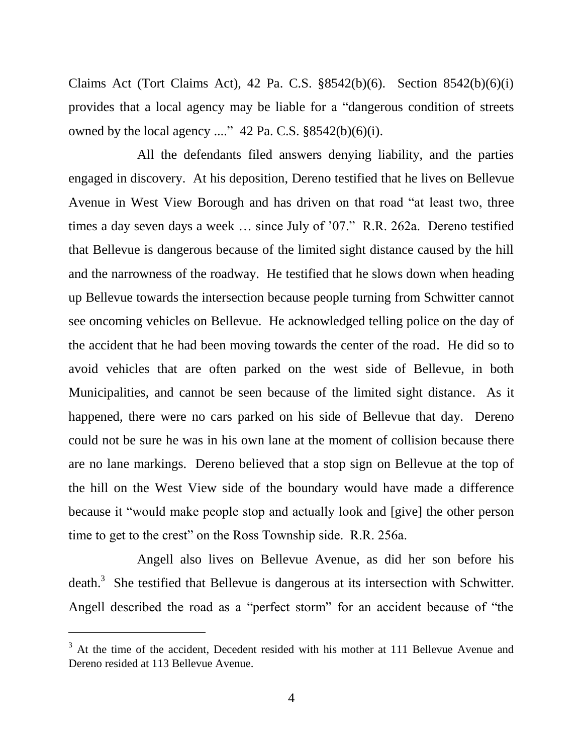Claims Act (Tort Claims Act), 42 Pa. C.S. §8542(b)(6). Section 8542(b)(6)(i) provides that a local agency may be liable for a "dangerous condition of streets owned by the local agency ...."  $42$  Pa. C.S.  $\S 8542(b)(6)(i)$ .

All the defendants filed answers denying liability, and the parties engaged in discovery. At his deposition, Dereno testified that he lives on Bellevue Avenue in West View Borough and has driven on that road "at least two, three times a day seven days a week … since July of '07." R.R. 262a. Dereno testified that Bellevue is dangerous because of the limited sight distance caused by the hill and the narrowness of the roadway. He testified that he slows down when heading up Bellevue towards the intersection because people turning from Schwitter cannot see oncoming vehicles on Bellevue. He acknowledged telling police on the day of the accident that he had been moving towards the center of the road. He did so to avoid vehicles that are often parked on the west side of Bellevue, in both Municipalities, and cannot be seen because of the limited sight distance. As it happened, there were no cars parked on his side of Bellevue that day. Dereno could not be sure he was in his own lane at the moment of collision because there are no lane markings. Dereno believed that a stop sign on Bellevue at the top of the hill on the West View side of the boundary would have made a difference because it "would make people stop and actually look and [give] the other person time to get to the crest" on the Ross Township side. R.R. 256a.

Angell also lives on Bellevue Avenue, as did her son before his death.<sup>3</sup> She testified that Bellevue is dangerous at its intersection with Schwitter. Angell described the road as a "perfect storm" for an accident because of "the

<sup>&</sup>lt;sup>3</sup> At the time of the accident, Decedent resided with his mother at 111 Bellevue Avenue and Dereno resided at 113 Bellevue Avenue.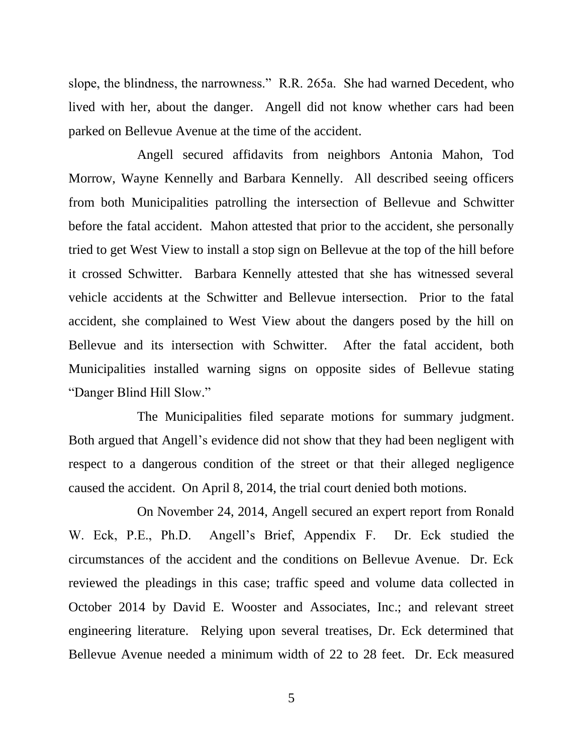slope, the blindness, the narrowness." R.R. 265a. She had warned Decedent, who lived with her, about the danger. Angell did not know whether cars had been parked on Bellevue Avenue at the time of the accident.

Angell secured affidavits from neighbors Antonia Mahon, Tod Morrow, Wayne Kennelly and Barbara Kennelly. All described seeing officers from both Municipalities patrolling the intersection of Bellevue and Schwitter before the fatal accident. Mahon attested that prior to the accident, she personally tried to get West View to install a stop sign on Bellevue at the top of the hill before it crossed Schwitter. Barbara Kennelly attested that she has witnessed several vehicle accidents at the Schwitter and Bellevue intersection. Prior to the fatal accident, she complained to West View about the dangers posed by the hill on Bellevue and its intersection with Schwitter. After the fatal accident, both Municipalities installed warning signs on opposite sides of Bellevue stating "Danger Blind Hill Slow."

The Municipalities filed separate motions for summary judgment. Both argued that Angell's evidence did not show that they had been negligent with respect to a dangerous condition of the street or that their alleged negligence caused the accident. On April 8, 2014, the trial court denied both motions.

On November 24, 2014, Angell secured an expert report from Ronald W. Eck, P.E., Ph.D. Angell's Brief, Appendix F. Dr. Eck studied the circumstances of the accident and the conditions on Bellevue Avenue. Dr. Eck reviewed the pleadings in this case; traffic speed and volume data collected in October 2014 by David E. Wooster and Associates, Inc.; and relevant street engineering literature. Relying upon several treatises, Dr. Eck determined that Bellevue Avenue needed a minimum width of 22 to 28 feet. Dr. Eck measured

5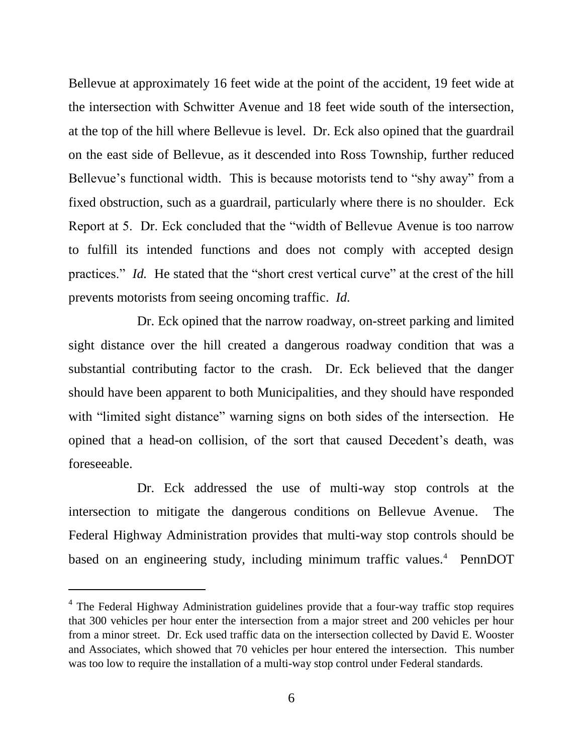Bellevue at approximately 16 feet wide at the point of the accident, 19 feet wide at the intersection with Schwitter Avenue and 18 feet wide south of the intersection, at the top of the hill where Bellevue is level. Dr. Eck also opined that the guardrail on the east side of Bellevue, as it descended into Ross Township, further reduced Bellevue's functional width. This is because motorists tend to "shy away" from a fixed obstruction, such as a guardrail, particularly where there is no shoulder. Eck Report at 5. Dr. Eck concluded that the "width of Bellevue Avenue is too narrow to fulfill its intended functions and does not comply with accepted design practices." *Id.* He stated that the "short crest vertical curve" at the crest of the hill prevents motorists from seeing oncoming traffic. *Id.*

Dr. Eck opined that the narrow roadway, on-street parking and limited sight distance over the hill created a dangerous roadway condition that was a substantial contributing factor to the crash. Dr. Eck believed that the danger should have been apparent to both Municipalities, and they should have responded with "limited sight distance" warning signs on both sides of the intersection. He opined that a head-on collision, of the sort that caused Decedent's death, was foreseeable.

Dr. Eck addressed the use of multi-way stop controls at the intersection to mitigate the dangerous conditions on Bellevue Avenue. The Federal Highway Administration provides that multi-way stop controls should be based on an engineering study, including minimum traffic values.<sup>4</sup> PennDOT

<sup>&</sup>lt;sup>4</sup> The Federal Highway Administration guidelines provide that a four-way traffic stop requires that 300 vehicles per hour enter the intersection from a major street and 200 vehicles per hour from a minor street. Dr. Eck used traffic data on the intersection collected by David E. Wooster and Associates, which showed that 70 vehicles per hour entered the intersection. This number was too low to require the installation of a multi-way stop control under Federal standards.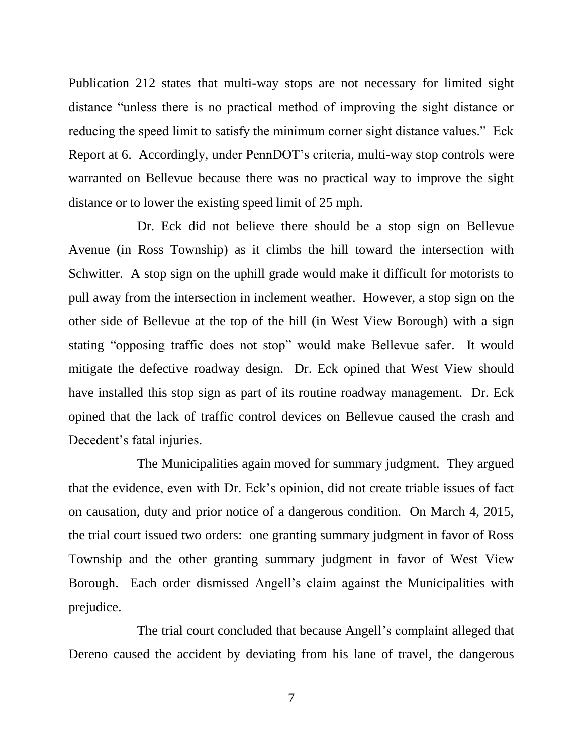Publication 212 states that multi-way stops are not necessary for limited sight distance "unless there is no practical method of improving the sight distance or reducing the speed limit to satisfy the minimum corner sight distance values." Eck Report at 6. Accordingly, under PennDOT's criteria, multi-way stop controls were warranted on Bellevue because there was no practical way to improve the sight distance or to lower the existing speed limit of 25 mph.

Dr. Eck did not believe there should be a stop sign on Bellevue Avenue (in Ross Township) as it climbs the hill toward the intersection with Schwitter. A stop sign on the uphill grade would make it difficult for motorists to pull away from the intersection in inclement weather. However, a stop sign on the other side of Bellevue at the top of the hill (in West View Borough) with a sign stating "opposing traffic does not stop" would make Bellevue safer. It would mitigate the defective roadway design. Dr. Eck opined that West View should have installed this stop sign as part of its routine roadway management. Dr. Eck opined that the lack of traffic control devices on Bellevue caused the crash and Decedent's fatal injuries.

The Municipalities again moved for summary judgment. They argued that the evidence, even with Dr. Eck's opinion, did not create triable issues of fact on causation, duty and prior notice of a dangerous condition. On March 4, 2015, the trial court issued two orders: one granting summary judgment in favor of Ross Township and the other granting summary judgment in favor of West View Borough. Each order dismissed Angell's claim against the Municipalities with prejudice.

The trial court concluded that because Angell's complaint alleged that Dereno caused the accident by deviating from his lane of travel, the dangerous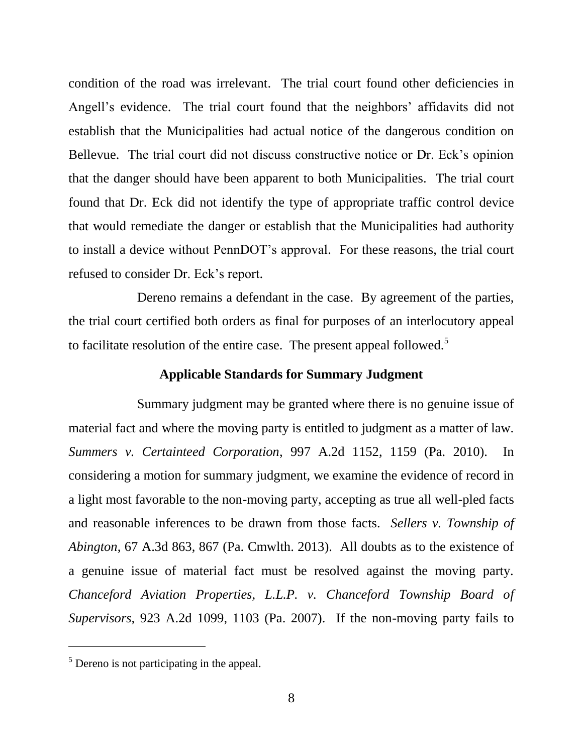condition of the road was irrelevant. The trial court found other deficiencies in Angell's evidence. The trial court found that the neighbors' affidavits did not establish that the Municipalities had actual notice of the dangerous condition on Bellevue. The trial court did not discuss constructive notice or Dr. Eck's opinion that the danger should have been apparent to both Municipalities. The trial court found that Dr. Eck did not identify the type of appropriate traffic control device that would remediate the danger or establish that the Municipalities had authority to install a device without PennDOT's approval. For these reasons, the trial court refused to consider Dr. Eck's report.

Dereno remains a defendant in the case. By agreement of the parties, the trial court certified both orders as final for purposes of an interlocutory appeal to facilitate resolution of the entire case. The present appeal followed.<sup>5</sup>

# **Applicable Standards for Summary Judgment**

Summary judgment may be granted where there is no genuine issue of material fact and where the moving party is entitled to judgment as a matter of law. *Summers v. Certainteed Corporation*, 997 A.2d 1152, 1159 (Pa. 2010). In considering a motion for summary judgment, we examine the evidence of record in a light most favorable to the non-moving party, accepting as true all well-pled facts and reasonable inferences to be drawn from those facts. *Sellers v. Township of Abington*, 67 A.3d 863, 867 (Pa. Cmwlth. 2013). All doubts as to the existence of a genuine issue of material fact must be resolved against the moving party. *Chanceford Aviation Properties, L.L.P. v. Chanceford Township Board of Supervisors,* 923 A.2d 1099, 1103 (Pa. 2007). If the non-moving party fails to

<sup>5</sup> Dereno is not participating in the appeal.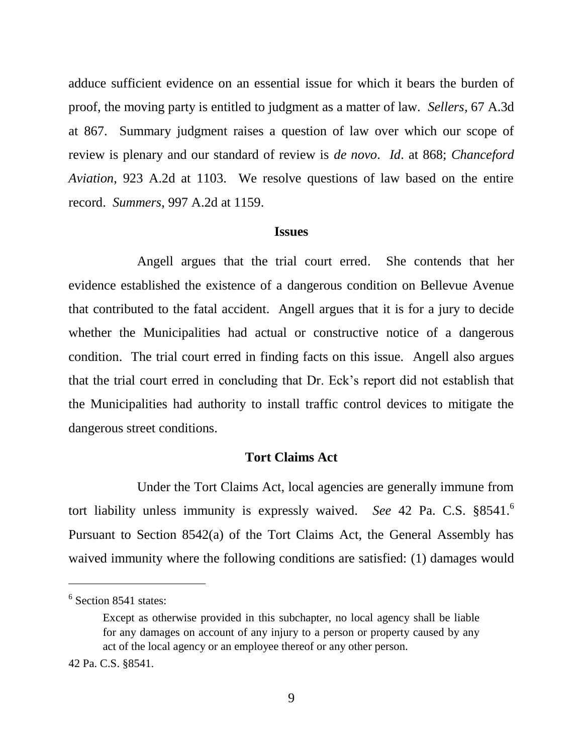adduce sufficient evidence on an essential issue for which it bears the burden of proof, the moving party is entitled to judgment as a matter of law. *Sellers*, 67 A.3d at 867. Summary judgment raises a question of law over which our scope of review is plenary and our standard of review is *de novo*. *Id*. at 868; *Chanceford Aviation*, 923 A.2d at 1103. We resolve questions of law based on the entire record. *Summers*, 997 A.2d at 1159.

#### **Issues**

Angell argues that the trial court erred. She contends that her evidence established the existence of a dangerous condition on Bellevue Avenue that contributed to the fatal accident. Angell argues that it is for a jury to decide whether the Municipalities had actual or constructive notice of a dangerous condition. The trial court erred in finding facts on this issue. Angell also argues that the trial court erred in concluding that Dr. Eck's report did not establish that the Municipalities had authority to install traffic control devices to mitigate the dangerous street conditions.

#### **Tort Claims Act**

Under the Tort Claims Act, local agencies are generally immune from tort liability unless immunity is expressly waived. *See* 42 Pa. C.S. §8541.<sup>6</sup> Pursuant to Section 8542(a) of the Tort Claims Act, the General Assembly has waived immunity where the following conditions are satisfied: (1) damages would

<sup>&</sup>lt;sup>6</sup> Section 8541 states:

Except as otherwise provided in this subchapter, no local agency shall be liable for any damages on account of any injury to a person or property caused by any act of the local agency or an employee thereof or any other person.

<sup>42</sup> Pa. C.S. §8541.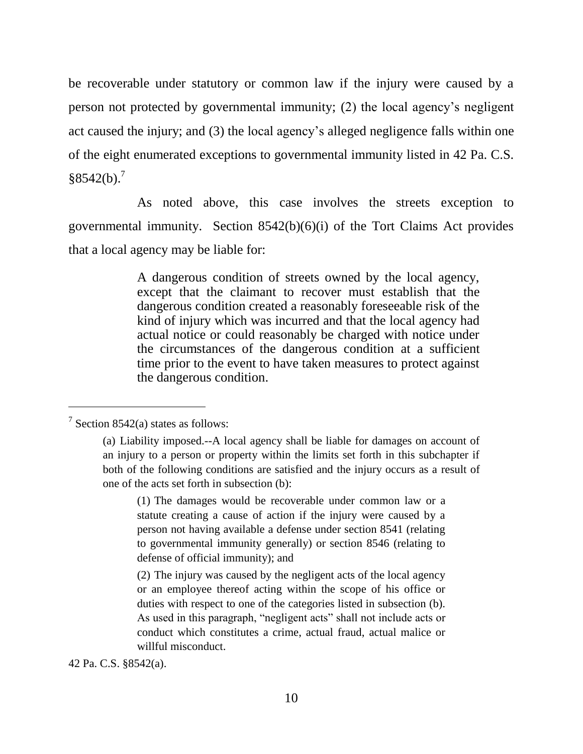be recoverable under statutory or common law if the injury were caused by a person not protected by governmental immunity; (2) the local agency's negligent act caused the injury; and (3) the local agency's alleged negligence falls within one of the eight enumerated exceptions to governmental immunity listed in 42 Pa. C.S.  $$8542(b).<sup>7</sup>$ 

As noted above, this case involves the streets exception to governmental immunity. Section 8542(b)(6)(i) of the Tort Claims Act provides that a local agency may be liable for:

> A dangerous condition of streets owned by the local agency, except that the claimant to recover must establish that the dangerous condition created a reasonably foreseeable risk of the kind of injury which was incurred and that the local agency had actual notice or could reasonably be charged with notice under the circumstances of the dangerous condition at a sufficient time prior to the event to have taken measures to protect against the dangerous condition.

 $\overline{a}$ 

42 Pa. C.S. §8542(a).

 $7$  Section 8542(a) states as follows:

<sup>(</sup>a) Liability imposed.--A local agency shall be liable for damages on account of an injury to a person or property within the limits set forth in this subchapter if both of the following conditions are satisfied and the injury occurs as a result of one of the acts set forth in subsection (b):

<sup>(1)</sup> The damages would be recoverable under common law or a statute creating a cause of action if the injury were caused by a person not having available a defense under section 8541 (relating to governmental immunity generally) or section 8546 (relating to defense of official immunity); and

<sup>(2)</sup> The injury was caused by the negligent acts of the local agency or an employee thereof acting within the scope of his office or duties with respect to one of the categories listed in subsection (b). As used in this paragraph, "negligent acts" shall not include acts or conduct which constitutes a crime, actual fraud, actual malice or willful misconduct.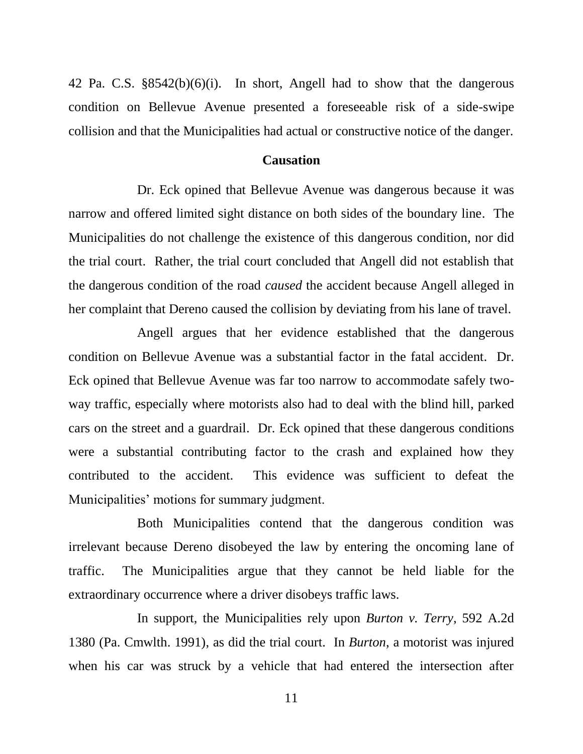42 Pa. C.S. §8542(b)(6)(i). In short, Angell had to show that the dangerous condition on Bellevue Avenue presented a foreseeable risk of a side-swipe collision and that the Municipalities had actual or constructive notice of the danger.

#### **Causation**

Dr. Eck opined that Bellevue Avenue was dangerous because it was narrow and offered limited sight distance on both sides of the boundary line. The Municipalities do not challenge the existence of this dangerous condition, nor did the trial court. Rather, the trial court concluded that Angell did not establish that the dangerous condition of the road *caused* the accident because Angell alleged in her complaint that Dereno caused the collision by deviating from his lane of travel.

Angell argues that her evidence established that the dangerous condition on Bellevue Avenue was a substantial factor in the fatal accident. Dr. Eck opined that Bellevue Avenue was far too narrow to accommodate safely twoway traffic, especially where motorists also had to deal with the blind hill, parked cars on the street and a guardrail. Dr. Eck opined that these dangerous conditions were a substantial contributing factor to the crash and explained how they contributed to the accident. This evidence was sufficient to defeat the Municipalities' motions for summary judgment.

Both Municipalities contend that the dangerous condition was irrelevant because Dereno disobeyed the law by entering the oncoming lane of traffic. The Municipalities argue that they cannot be held liable for the extraordinary occurrence where a driver disobeys traffic laws.

In support, the Municipalities rely upon *Burton v. Terry*, 592 A.2d 1380 (Pa. Cmwlth. 1991), as did the trial court. In *Burton*, a motorist was injured when his car was struck by a vehicle that had entered the intersection after

11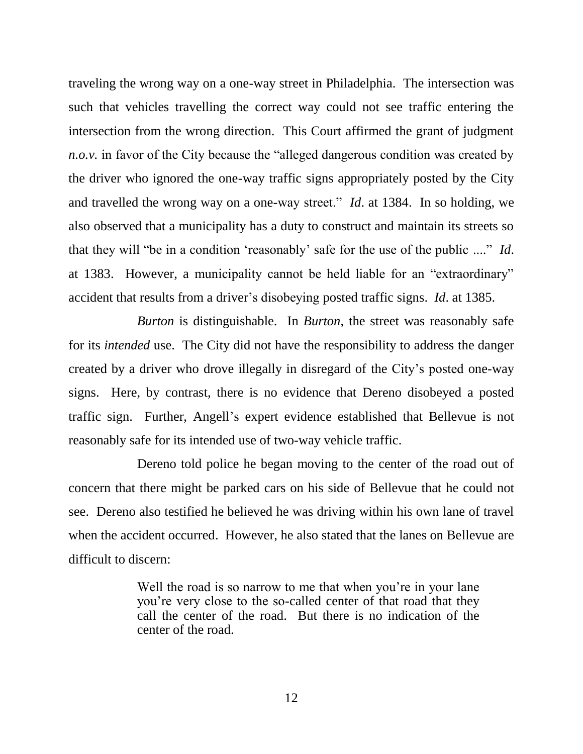traveling the wrong way on a one-way street in Philadelphia. The intersection was such that vehicles travelling the correct way could not see traffic entering the intersection from the wrong direction. This Court affirmed the grant of judgment *n.o.v.* in favor of the City because the "alleged dangerous condition was created by the driver who ignored the one-way traffic signs appropriately posted by the City and travelled the wrong way on a one-way street." *Id*. at 1384. In so holding, we also observed that a municipality has a duty to construct and maintain its streets so that they will "be in a condition 'reasonably' safe for the use of the public ...." *Id*. at 1383. However, a municipality cannot be held liable for an "extraordinary" accident that results from a driver's disobeying posted traffic signs. *Id*. at 1385.

*Burton* is distinguishable. In *Burton*, the street was reasonably safe for its *intended* use. The City did not have the responsibility to address the danger created by a driver who drove illegally in disregard of the City's posted one-way signs. Here, by contrast, there is no evidence that Dereno disobeyed a posted traffic sign. Further, Angell's expert evidence established that Bellevue is not reasonably safe for its intended use of two-way vehicle traffic.

Dereno told police he began moving to the center of the road out of concern that there might be parked cars on his side of Bellevue that he could not see. Dereno also testified he believed he was driving within his own lane of travel when the accident occurred. However, he also stated that the lanes on Bellevue are difficult to discern:

> Well the road is so narrow to me that when you're in your lane you're very close to the so-called center of that road that they call the center of the road. But there is no indication of the center of the road.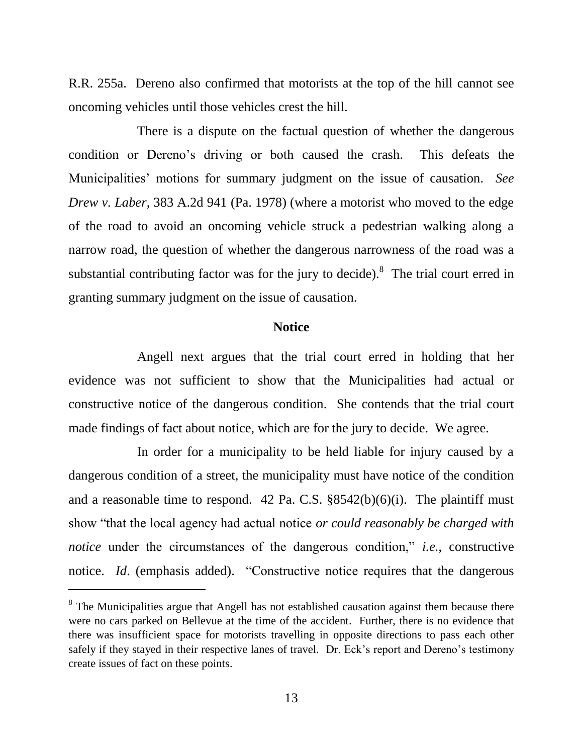R.R. 255a. Dereno also confirmed that motorists at the top of the hill cannot see oncoming vehicles until those vehicles crest the hill.

There is a dispute on the factual question of whether the dangerous condition or Dereno's driving or both caused the crash. This defeats the Municipalities' motions for summary judgment on the issue of causation. *See Drew v. Laber*, 383 A.2d 941 (Pa. 1978) (where a motorist who moved to the edge of the road to avoid an oncoming vehicle struck a pedestrian walking along a narrow road, the question of whether the dangerous narrowness of the road was a substantial contributing factor was for the jury to decide).<sup>8</sup> The trial court erred in granting summary judgment on the issue of causation.

### **Notice**

Angell next argues that the trial court erred in holding that her evidence was not sufficient to show that the Municipalities had actual or constructive notice of the dangerous condition. She contends that the trial court made findings of fact about notice, which are for the jury to decide. We agree.

In order for a municipality to be held liable for injury caused by a dangerous condition of a street, the municipality must have notice of the condition and a reasonable time to respond. 42 Pa. C.S.  $\S 8542(b)(6)(i)$ . The plaintiff must show "that the local agency had actual notice *or could reasonably be charged with notice* under the circumstances of the dangerous condition," *i.e.*, constructive notice. *Id.* (emphasis added). "Constructive notice requires that the dangerous

 $8$  The Municipalities argue that Angell has not established causation against them because there were no cars parked on Bellevue at the time of the accident. Further, there is no evidence that there was insufficient space for motorists travelling in opposite directions to pass each other safely if they stayed in their respective lanes of travel. Dr. Eck's report and Dereno's testimony create issues of fact on these points.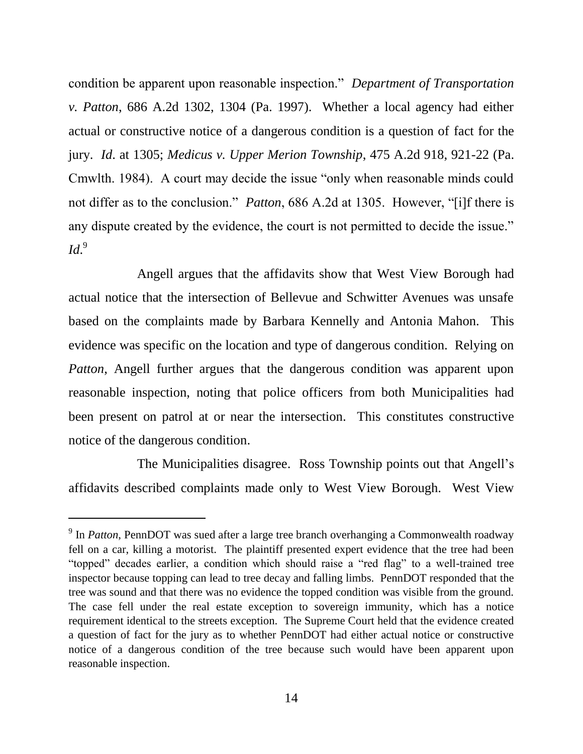condition be apparent upon reasonable inspection." *Department of Transportation v. Patton*, 686 A.2d 1302, 1304 (Pa. 1997). Whether a local agency had either actual or constructive notice of a dangerous condition is a question of fact for the jury. *Id*. at 1305; *Medicus v. Upper Merion Township*, 475 A.2d 918, 921-22 (Pa. Cmwlth. 1984). A court may decide the issue "only when reasonable minds could not differ as to the conclusion." *Patton*, 686 A.2d at 1305. However, "[i]f there is any dispute created by the evidence, the court is not permitted to decide the issue." *Id*. 9

Angell argues that the affidavits show that West View Borough had actual notice that the intersection of Bellevue and Schwitter Avenues was unsafe based on the complaints made by Barbara Kennelly and Antonia Mahon. This evidence was specific on the location and type of dangerous condition. Relying on *Patton*, Angell further argues that the dangerous condition was apparent upon reasonable inspection, noting that police officers from both Municipalities had been present on patrol at or near the intersection. This constitutes constructive notice of the dangerous condition.

The Municipalities disagree. Ross Township points out that Angell's affidavits described complaints made only to West View Borough. West View

<sup>&</sup>lt;sup>9</sup> In *Patton*, PennDOT was sued after a large tree branch overhanging a Commonwealth roadway fell on a car, killing a motorist. The plaintiff presented expert evidence that the tree had been "topped" decades earlier, a condition which should raise a "red flag" to a well-trained tree inspector because topping can lead to tree decay and falling limbs. PennDOT responded that the tree was sound and that there was no evidence the topped condition was visible from the ground. The case fell under the real estate exception to sovereign immunity, which has a notice requirement identical to the streets exception. The Supreme Court held that the evidence created a question of fact for the jury as to whether PennDOT had either actual notice or constructive notice of a dangerous condition of the tree because such would have been apparent upon reasonable inspection.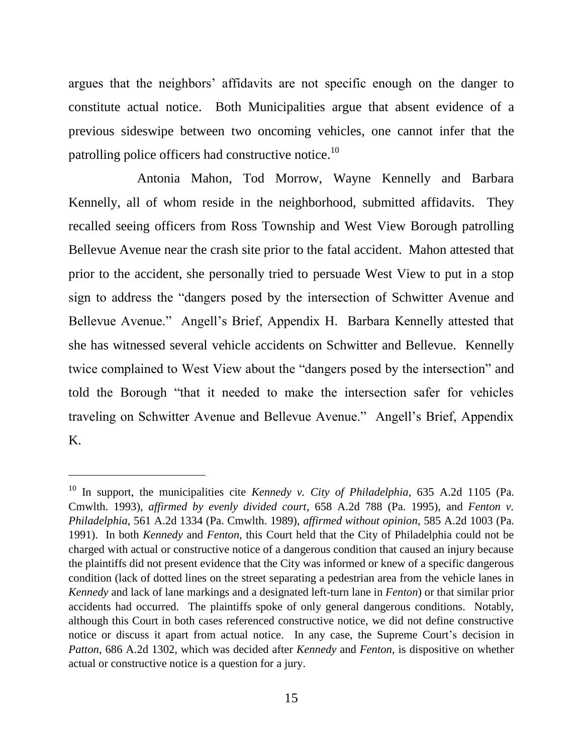argues that the neighbors' affidavits are not specific enough on the danger to constitute actual notice. Both Municipalities argue that absent evidence of a previous sideswipe between two oncoming vehicles, one cannot infer that the patrolling police officers had constructive notice.<sup>10</sup>

Antonia Mahon, Tod Morrow, Wayne Kennelly and Barbara Kennelly, all of whom reside in the neighborhood, submitted affidavits. They recalled seeing officers from Ross Township and West View Borough patrolling Bellevue Avenue near the crash site prior to the fatal accident. Mahon attested that prior to the accident, she personally tried to persuade West View to put in a stop sign to address the "dangers posed by the intersection of Schwitter Avenue and Bellevue Avenue." Angell's Brief, Appendix H. Barbara Kennelly attested that she has witnessed several vehicle accidents on Schwitter and Bellevue. Kennelly twice complained to West View about the "dangers posed by the intersection" and told the Borough "that it needed to make the intersection safer for vehicles traveling on Schwitter Avenue and Bellevue Avenue." Angell's Brief, Appendix K.

<sup>10</sup> In support, the municipalities cite *Kennedy v. City of Philadelphia*, 635 A.2d 1105 (Pa. Cmwlth. 1993), *affirmed by evenly divided court*, 658 A.2d 788 (Pa. 1995), and *Fenton v. Philadelphia*, 561 A.2d 1334 (Pa. Cmwlth. 1989), *affirmed without opinion*, 585 A.2d 1003 (Pa. 1991). In both *Kennedy* and *Fenton*, this Court held that the City of Philadelphia could not be charged with actual or constructive notice of a dangerous condition that caused an injury because the plaintiffs did not present evidence that the City was informed or knew of a specific dangerous condition (lack of dotted lines on the street separating a pedestrian area from the vehicle lanes in *Kennedy* and lack of lane markings and a designated left-turn lane in *Fenton*) or that similar prior accidents had occurred. The plaintiffs spoke of only general dangerous conditions. Notably, although this Court in both cases referenced constructive notice, we did not define constructive notice or discuss it apart from actual notice. In any case, the Supreme Court's decision in *Patton*, 686 A.2d 1302, which was decided after *Kennedy* and *Fenton*, is dispositive on whether actual or constructive notice is a question for a jury.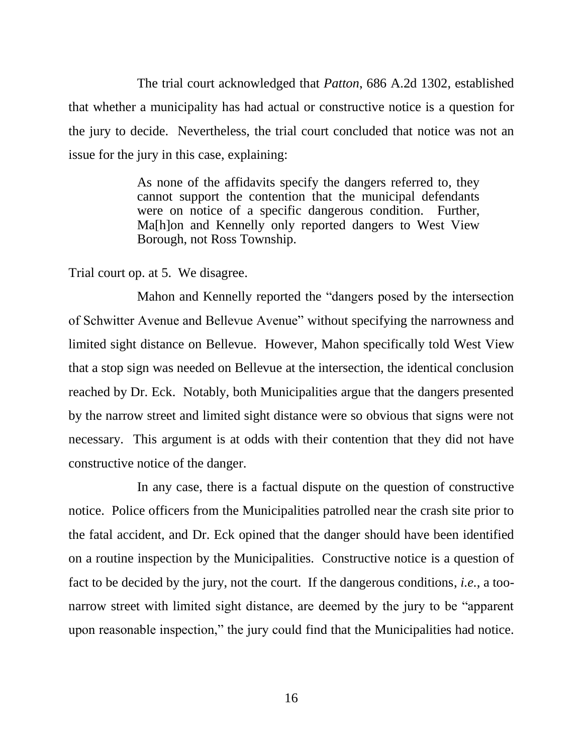The trial court acknowledged that *Patton*, 686 A.2d 1302, established that whether a municipality has had actual or constructive notice is a question for the jury to decide. Nevertheless, the trial court concluded that notice was not an issue for the jury in this case, explaining:

> As none of the affidavits specify the dangers referred to, they cannot support the contention that the municipal defendants were on notice of a specific dangerous condition. Further, Ma[h]on and Kennelly only reported dangers to West View Borough, not Ross Township.

Trial court op. at 5. We disagree.

Mahon and Kennelly reported the "dangers posed by the intersection of Schwitter Avenue and Bellevue Avenue" without specifying the narrowness and limited sight distance on Bellevue. However, Mahon specifically told West View that a stop sign was needed on Bellevue at the intersection, the identical conclusion reached by Dr. Eck. Notably, both Municipalities argue that the dangers presented by the narrow street and limited sight distance were so obvious that signs were not necessary. This argument is at odds with their contention that they did not have constructive notice of the danger.

In any case, there is a factual dispute on the question of constructive notice. Police officers from the Municipalities patrolled near the crash site prior to the fatal accident, and Dr. Eck opined that the danger should have been identified on a routine inspection by the Municipalities. Constructive notice is a question of fact to be decided by the jury, not the court. If the dangerous conditions, *i.e.*, a toonarrow street with limited sight distance, are deemed by the jury to be "apparent upon reasonable inspection," the jury could find that the Municipalities had notice.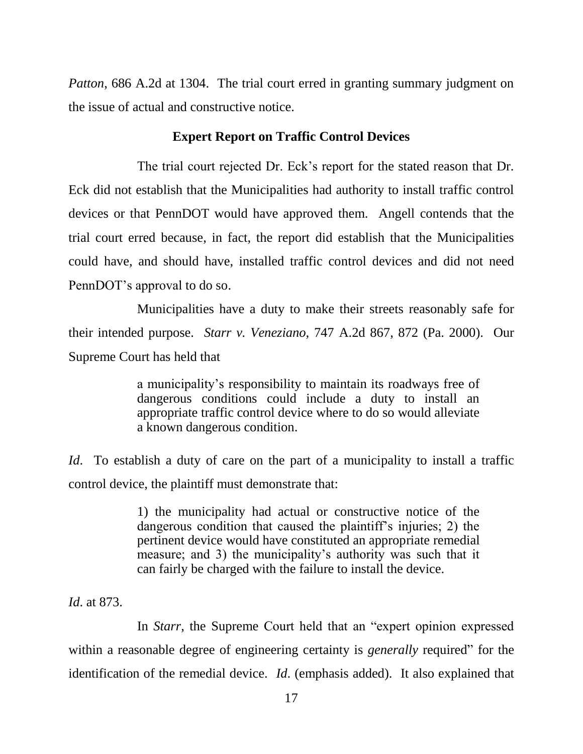*Patton*, 686 A.2d at 1304. The trial court erred in granting summary judgment on the issue of actual and constructive notice.

#### **Expert Report on Traffic Control Devices**

The trial court rejected Dr. Eck's report for the stated reason that Dr. Eck did not establish that the Municipalities had authority to install traffic control devices or that PennDOT would have approved them. Angell contends that the trial court erred because, in fact, the report did establish that the Municipalities could have, and should have, installed traffic control devices and did not need PennDOT's approval to do so.

Municipalities have a duty to make their streets reasonably safe for their intended purpose. *Starr v. Veneziano*, 747 A.2d 867, 872 (Pa. 2000). Our Supreme Court has held that

> a municipality's responsibility to maintain its roadways free of dangerous conditions could include a duty to install an appropriate traffic control device where to do so would alleviate a known dangerous condition.

*Id*. To establish a duty of care on the part of a municipality to install a traffic control device, the plaintiff must demonstrate that:

> 1) the municipality had actual or constructive notice of the dangerous condition that caused the plaintiff's injuries; 2) the pertinent device would have constituted an appropriate remedial measure; and 3) the municipality's authority was such that it can fairly be charged with the failure to install the device.

*Id*. at 873.

In *Starr*, the Supreme Court held that an "expert opinion expressed within a reasonable degree of engineering certainty is *generally* required" for the identification of the remedial device. *Id*. (emphasis added). It also explained that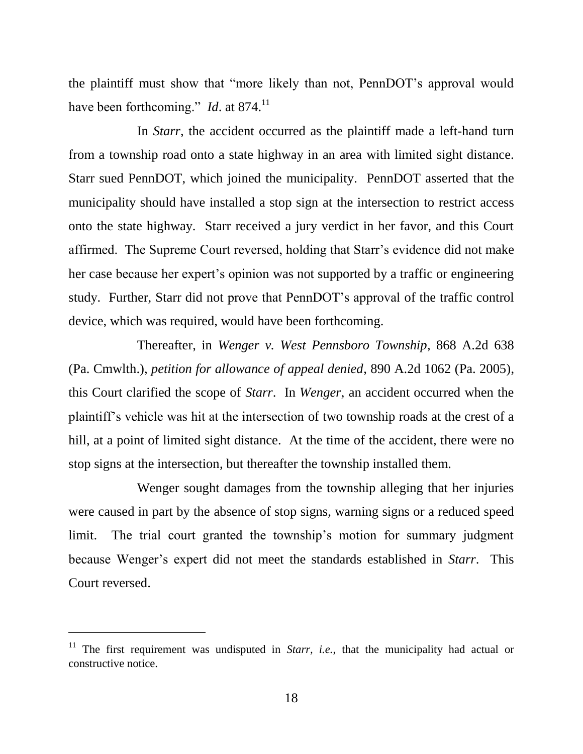the plaintiff must show that "more likely than not, PennDOT's approval would have been forthcoming." *Id.* at 874.<sup>11</sup>

In *Starr*, the accident occurred as the plaintiff made a left-hand turn from a township road onto a state highway in an area with limited sight distance. Starr sued PennDOT, which joined the municipality. PennDOT asserted that the municipality should have installed a stop sign at the intersection to restrict access onto the state highway. Starr received a jury verdict in her favor, and this Court affirmed. The Supreme Court reversed, holding that Starr's evidence did not make her case because her expert's opinion was not supported by a traffic or engineering study. Further, Starr did not prove that PennDOT's approval of the traffic control device, which was required, would have been forthcoming.

Thereafter, in *Wenger v. West Pennsboro Township*, 868 A.2d 638 (Pa. Cmwlth.), *petition for allowance of appeal denied*, 890 A.2d 1062 (Pa. 2005), this Court clarified the scope of *Starr*. In *Wenger*, an accident occurred when the plaintiff's vehicle was hit at the intersection of two township roads at the crest of a hill, at a point of limited sight distance. At the time of the accident, there were no stop signs at the intersection, but thereafter the township installed them.

Wenger sought damages from the township alleging that her injuries were caused in part by the absence of stop signs, warning signs or a reduced speed limit. The trial court granted the township's motion for summary judgment because Wenger's expert did not meet the standards established in *Starr*. This Court reversed.

<sup>&</sup>lt;sup>11</sup> The first requirement was undisputed in *Starr*, *i.e.*, that the municipality had actual or constructive notice.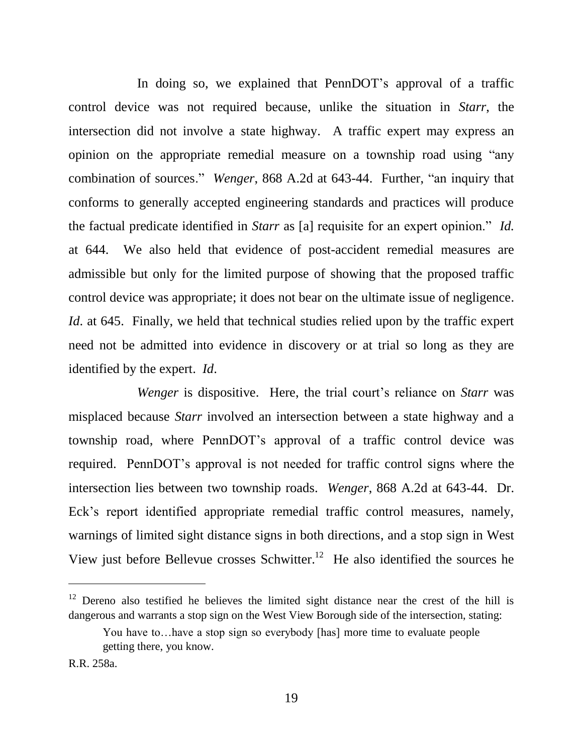In doing so, we explained that PennDOT's approval of a traffic control device was not required because, unlike the situation in *Starr*, the intersection did not involve a state highway. A traffic expert may express an opinion on the appropriate remedial measure on a township road using "any combination of sources." *Wenger*, 868 A.2d at 643-44. Further, "an inquiry that conforms to generally accepted engineering standards and practices will produce the factual predicate identified in *Starr* as [a] requisite for an expert opinion." *Id.* at 644. We also held that evidence of post-accident remedial measures are admissible but only for the limited purpose of showing that the proposed traffic control device was appropriate; it does not bear on the ultimate issue of negligence. *Id.* at 645. Finally, we held that technical studies relied upon by the traffic expert need not be admitted into evidence in discovery or at trial so long as they are identified by the expert. *Id*.

*Wenger* is dispositive. Here, the trial court's reliance on *Starr* was misplaced because *Starr* involved an intersection between a state highway and a township road, where PennDOT's approval of a traffic control device was required. PennDOT's approval is not needed for traffic control signs where the intersection lies between two township roads. *Wenger*, 868 A.2d at 643-44. Dr. Eck's report identified appropriate remedial traffic control measures, namely, warnings of limited sight distance signs in both directions, and a stop sign in West View just before Bellevue crosses Schwitter.<sup>12</sup> He also identified the sources he

 $12$  Dereno also testified he believes the limited sight distance near the crest of the hill is dangerous and warrants a stop sign on the West View Borough side of the intersection, stating:

You have to…have a stop sign so everybody [has] more time to evaluate people getting there, you know.

R.R. 258a.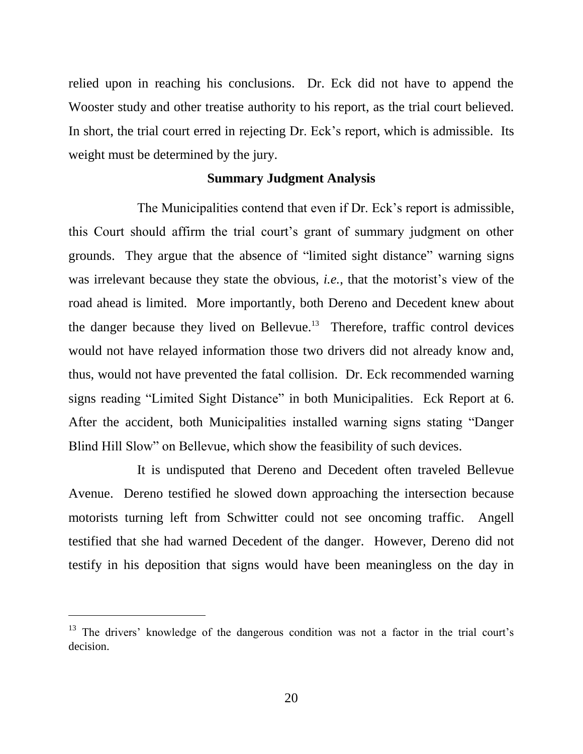relied upon in reaching his conclusions. Dr. Eck did not have to append the Wooster study and other treatise authority to his report, as the trial court believed. In short, the trial court erred in rejecting Dr. Eck's report, which is admissible. Its weight must be determined by the jury.

#### **Summary Judgment Analysis**

The Municipalities contend that even if Dr. Eck's report is admissible, this Court should affirm the trial court's grant of summary judgment on other grounds. They argue that the absence of "limited sight distance" warning signs was irrelevant because they state the obvious, *i.e.*, that the motorist's view of the road ahead is limited. More importantly, both Dereno and Decedent knew about the danger because they lived on Bellevue.<sup>13</sup> Therefore, traffic control devices would not have relayed information those two drivers did not already know and, thus, would not have prevented the fatal collision. Dr. Eck recommended warning signs reading "Limited Sight Distance" in both Municipalities. Eck Report at 6. After the accident, both Municipalities installed warning signs stating "Danger Blind Hill Slow" on Bellevue, which show the feasibility of such devices.

It is undisputed that Dereno and Decedent often traveled Bellevue Avenue. Dereno testified he slowed down approaching the intersection because motorists turning left from Schwitter could not see oncoming traffic. Angell testified that she had warned Decedent of the danger. However, Dereno did not testify in his deposition that signs would have been meaningless on the day in

<sup>&</sup>lt;sup>13</sup> The drivers' knowledge of the dangerous condition was not a factor in the trial court's decision.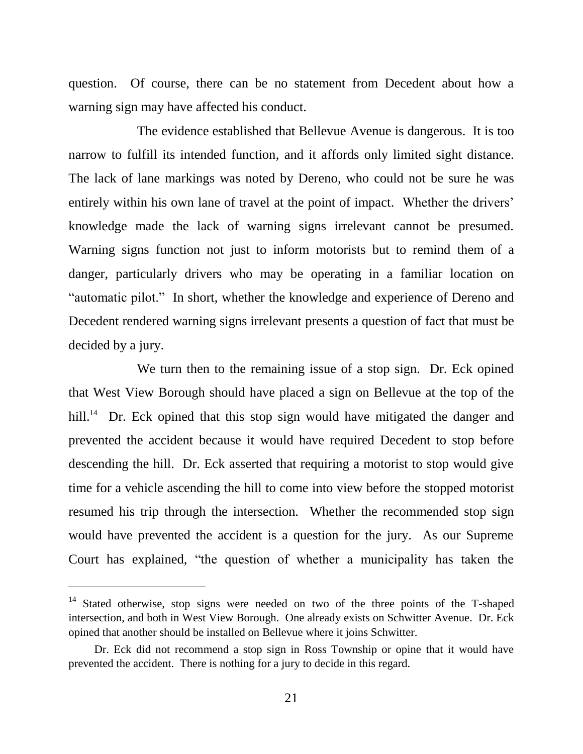question. Of course, there can be no statement from Decedent about how a warning sign may have affected his conduct.

The evidence established that Bellevue Avenue is dangerous. It is too narrow to fulfill its intended function, and it affords only limited sight distance. The lack of lane markings was noted by Dereno, who could not be sure he was entirely within his own lane of travel at the point of impact. Whether the drivers' knowledge made the lack of warning signs irrelevant cannot be presumed. Warning signs function not just to inform motorists but to remind them of a danger, particularly drivers who may be operating in a familiar location on "automatic pilot." In short, whether the knowledge and experience of Dereno and Decedent rendered warning signs irrelevant presents a question of fact that must be decided by a jury.

We turn then to the remaining issue of a stop sign. Dr. Eck opined that West View Borough should have placed a sign on Bellevue at the top of the hill.<sup>14</sup> Dr. Eck opined that this stop sign would have mitigated the danger and prevented the accident because it would have required Decedent to stop before descending the hill. Dr. Eck asserted that requiring a motorist to stop would give time for a vehicle ascending the hill to come into view before the stopped motorist resumed his trip through the intersection. Whether the recommended stop sign would have prevented the accident is a question for the jury. As our Supreme Court has explained, "the question of whether a municipality has taken the

<sup>&</sup>lt;sup>14</sup> Stated otherwise, stop signs were needed on two of the three points of the T-shaped intersection, and both in West View Borough. One already exists on Schwitter Avenue. Dr. Eck opined that another should be installed on Bellevue where it joins Schwitter.

Dr. Eck did not recommend a stop sign in Ross Township or opine that it would have prevented the accident. There is nothing for a jury to decide in this regard.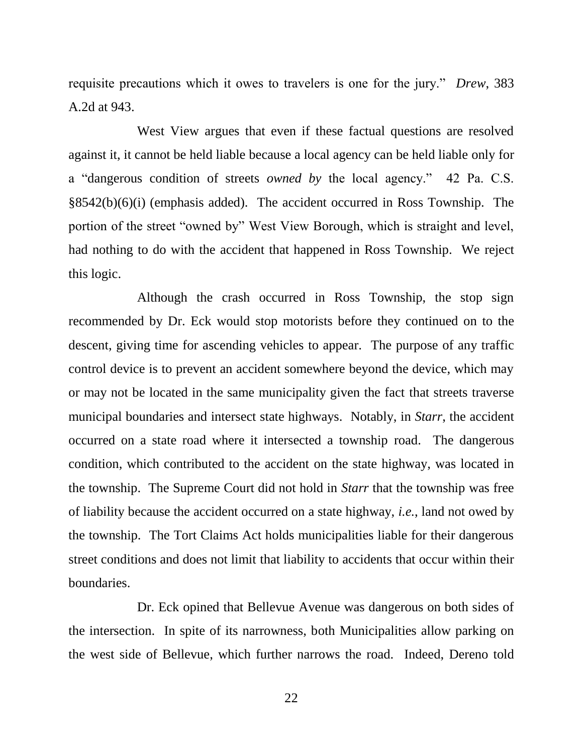requisite precautions which it owes to travelers is one for the jury." *Drew*, 383 A.2d at 943.

West View argues that even if these factual questions are resolved against it, it cannot be held liable because a local agency can be held liable only for a "dangerous condition of streets *owned by* the local agency." 42 Pa. C.S. §8542(b)(6)(i) (emphasis added). The accident occurred in Ross Township. The portion of the street "owned by" West View Borough, which is straight and level, had nothing to do with the accident that happened in Ross Township. We reject this logic.

Although the crash occurred in Ross Township, the stop sign recommended by Dr. Eck would stop motorists before they continued on to the descent, giving time for ascending vehicles to appear. The purpose of any traffic control device is to prevent an accident somewhere beyond the device, which may or may not be located in the same municipality given the fact that streets traverse municipal boundaries and intersect state highways. Notably, in *Starr*, the accident occurred on a state road where it intersected a township road. The dangerous condition, which contributed to the accident on the state highway, was located in the township. The Supreme Court did not hold in *Starr* that the township was free of liability because the accident occurred on a state highway, *i.e.*, land not owed by the township. The Tort Claims Act holds municipalities liable for their dangerous street conditions and does not limit that liability to accidents that occur within their boundaries.

Dr. Eck opined that Bellevue Avenue was dangerous on both sides of the intersection. In spite of its narrowness, both Municipalities allow parking on the west side of Bellevue, which further narrows the road. Indeed, Dereno told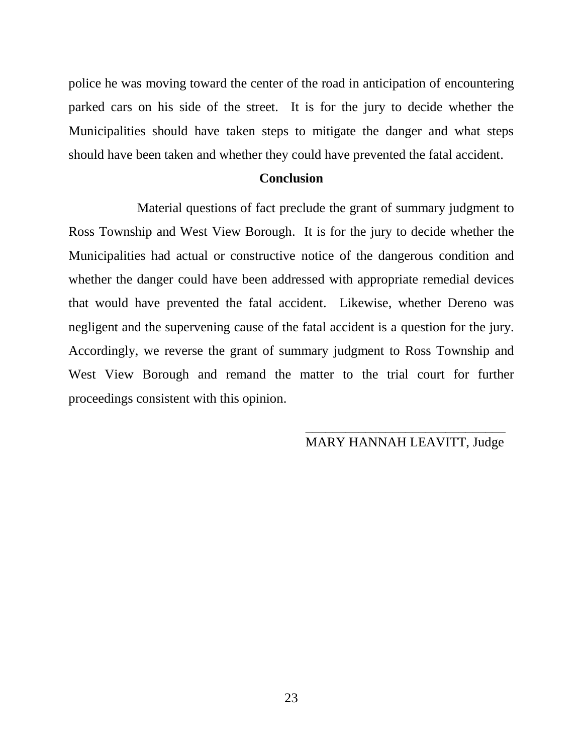police he was moving toward the center of the road in anticipation of encountering parked cars on his side of the street. It is for the jury to decide whether the Municipalities should have taken steps to mitigate the danger and what steps should have been taken and whether they could have prevented the fatal accident.

#### **Conclusion**

Material questions of fact preclude the grant of summary judgment to Ross Township and West View Borough. It is for the jury to decide whether the Municipalities had actual or constructive notice of the dangerous condition and whether the danger could have been addressed with appropriate remedial devices that would have prevented the fatal accident. Likewise, whether Dereno was negligent and the supervening cause of the fatal accident is a question for the jury. Accordingly, we reverse the grant of summary judgment to Ross Township and West View Borough and remand the matter to the trial court for further proceedings consistent with this opinion.

# MARY HANNAH LEAVITT, Judge

 $\frac{1}{\sqrt{2}}$  ,  $\frac{1}{\sqrt{2}}$  ,  $\frac{1}{\sqrt{2}}$  ,  $\frac{1}{\sqrt{2}}$  ,  $\frac{1}{\sqrt{2}}$  ,  $\frac{1}{\sqrt{2}}$  ,  $\frac{1}{\sqrt{2}}$  ,  $\frac{1}{\sqrt{2}}$  ,  $\frac{1}{\sqrt{2}}$  ,  $\frac{1}{\sqrt{2}}$  ,  $\frac{1}{\sqrt{2}}$  ,  $\frac{1}{\sqrt{2}}$  ,  $\frac{1}{\sqrt{2}}$  ,  $\frac{1}{\sqrt{2}}$  ,  $\frac{1}{\sqrt{2}}$